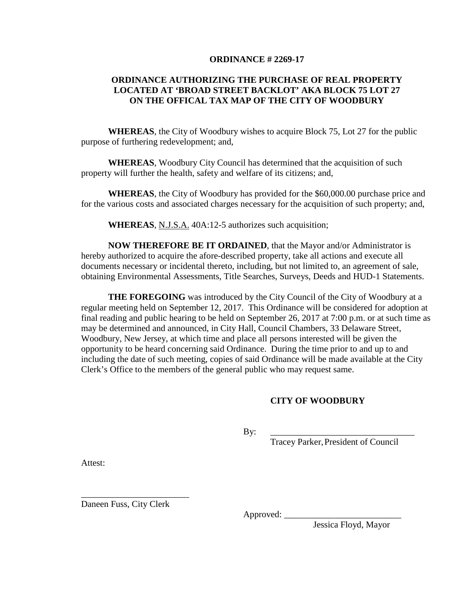## **ORDINANCE # 2269-17**

## **ORDINANCE AUTHORIZING THE PURCHASE OF REAL PROPERTY LOCATED AT 'BROAD STREET BACKLOT' AKA BLOCK 75 LOT 27 ON THE OFFICAL TAX MAP OF THE CITY OF WOODBURY**

**WHEREAS**, the City of Woodbury wishes to acquire Block 75, Lot 27 for the public purpose of furthering redevelopment; and,

**WHEREAS**, Woodbury City Council has determined that the acquisition of such property will further the health, safety and welfare of its citizens; and,

**WHEREAS**, the City of Woodbury has provided for the \$60,000.00 purchase price and for the various costs and associated charges necessary for the acquisition of such property; and,

**WHEREAS**, N.J.S.A. 40A:12-5 authorizes such acquisition;

**NOW THEREFORE BE IT ORDAINED**, that the Mayor and/or Administrator is hereby authorized to acquire the afore-described property, take all actions and execute all documents necessary or incidental thereto, including, but not limited to, an agreement of sale, obtaining Environmental Assessments, Title Searches, Surveys, Deeds and HUD-1 Statements.

**THE FOREGOING** was introduced by the City Council of the City of Woodbury at a regular meeting held on September 12, 2017. This Ordinance will be considered for adoption at final reading and public hearing to be held on September 26, 2017 at 7:00 p.m. or at such time as may be determined and announced, in City Hall, Council Chambers, 33 Delaware Street, Woodbury, New Jersey, at which time and place all persons interested will be given the opportunity to be heard concerning said Ordinance. During the time prior to and up to and including the date of such meeting, copies of said Ordinance will be made available at the City Clerk's Office to the members of the general public who may request same.

## **CITY OF WOODBURY**

By: \_\_\_\_\_\_\_\_\_\_\_\_\_\_\_\_\_\_\_\_\_\_\_\_\_\_\_\_\_\_\_\_

Tracey Parker, President of Council

Attest:

Daneen Fuss, City Clerk

\_\_\_\_\_\_\_\_\_\_\_\_\_\_\_\_\_\_\_\_\_\_\_\_

Approved:

Jessica Floyd, Mayor